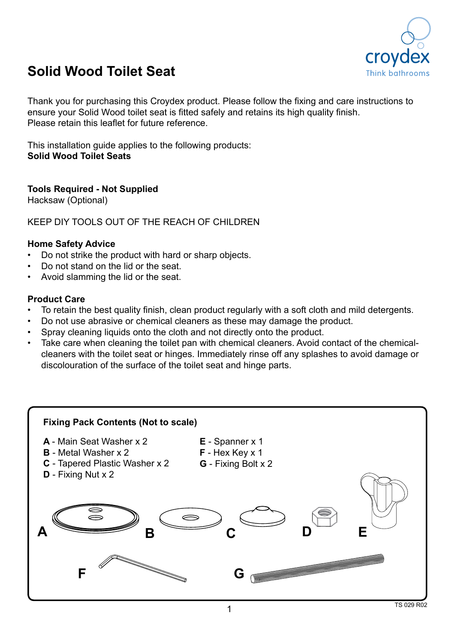

## **Solid Wood Toilet Seat**

Thank you for purchasing this Croydex product. Please follow the fixing and care instructions to ensure your Solid Wood toilet seat is fitted safely and retains its high quality finish. Please retain this leaflet for future reference.

This installation guide applies to the following products: **Solid Wood Toilet Seats**

**Tools Required - Not Supplied**

Hacksaw (Optional)

KEEP DIY TOOLS OUT OF THE REACH OF CHILDREN

## **Home Safety Advice**

- Do not strike the product with hard or sharp objects.
- Do not stand on the lid or the seat.
- Avoid slamming the lid or the seat.

## **Product Care**

- To retain the best quality finish, clean product regularly with a soft cloth and mild detergents.
- Do not use abrasive or chemical cleaners as these may damage the product.
- Spray cleaning liquids onto the cloth and not directly onto the product.
- Take care when cleaning the toilet pan with chemical cleaners. Avoid contact of the chemicalcleaners with the toilet seat or hinges. Immediately rinse off any splashes to avoid damage or discolouration of the surface of the toilet seat and hinge parts.